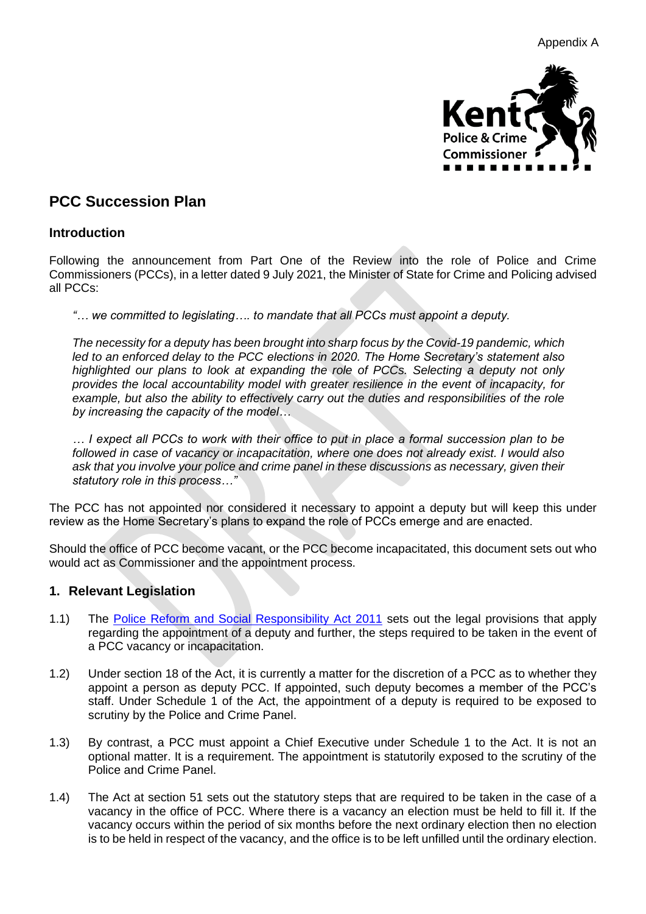

# **PCC Succession Plan**

### **Introduction**

Following the announcement from Part One of the Review into the role of Police and Crime Commissioners (PCCs), in a letter dated 9 July 2021, the Minister of State for Crime and Policing advised all PCCs:

*"… we committed to legislating…. to mandate that all PCCs must appoint a deputy.*

*The necessity for a deputy has been brought into sharp focus by the Covid-19 pandemic, which led to an enforced delay to the PCC elections in 2020. The Home Secretary's statement also highlighted our plans to look at expanding the role of PCCs. Selecting a deputy not only provides the local accountability model with greater resilience in the event of incapacity, for*  example, but also the ability to effectively carry out the duties and responsibilities of the role *by increasing the capacity of the model…*

*… I expect all PCCs to work with their office to put in place a formal succession plan to be followed in case of vacancy or incapacitation, where one does not already exist. I would also ask that you involve your police and crime panel in these discussions as necessary, given their statutory role in this process…"*

The PCC has not appointed nor considered it necessary to appoint a deputy but will keep this under review as the Home Secretary's plans to expand the role of PCCs emerge and are enacted.

Should the office of PCC become vacant, or the PCC become incapacitated, this document sets out who would act as Commissioner and the appointment process.

### **1. Relevant Legislation**

- 1.1) The [Police Reform and Social Responsibility Act 2011](https://www.legislation.gov.uk/ukpga/2011/13/contents/enacted) sets out the legal provisions that apply regarding the appointment of a deputy and further, the steps required to be taken in the event of a PCC vacancy or incapacitation.
- 1.2) Under section 18 of the Act, it is currently a matter for the discretion of a PCC as to whether they appoint a person as deputy PCC. If appointed, such deputy becomes a member of the PCC's staff. Under Schedule 1 of the Act, the appointment of a deputy is required to be exposed to scrutiny by the Police and Crime Panel.
- 1.3) By contrast, a PCC must appoint a Chief Executive under Schedule 1 to the Act. It is not an optional matter. It is a requirement. The appointment is statutorily exposed to the scrutiny of the Police and Crime Panel.
- 1.4) The Act at section 51 sets out the statutory steps that are required to be taken in the case of a vacancy in the office of PCC. Where there is a vacancy an election must be held to fill it. If the vacancy occurs within the period of six months before the next ordinary election then no election is to be held in respect of the vacancy, and the office is to be left unfilled until the ordinary election.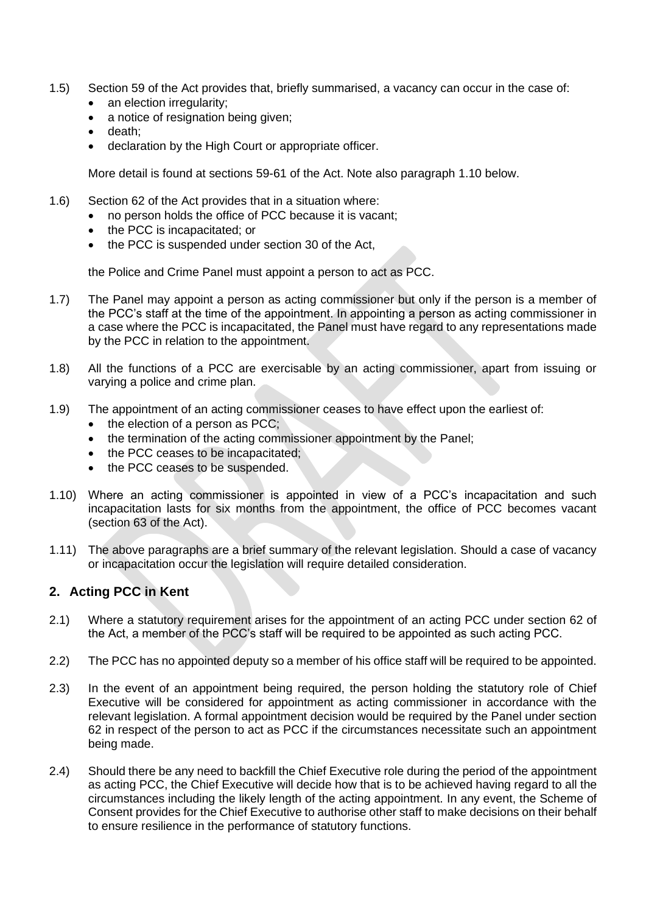- 1.5) Section 59 of the Act provides that, briefly summarised, a vacancy can occur in the case of:
	- an election irregularity;
	- a notice of resignation being given;
	- death;
	- declaration by the High Court or appropriate officer.

More detail is found at sections 59-61 of the Act. Note also paragraph 1.10 below.

- 1.6) Section 62 of the Act provides that in a situation where:
	- no person holds the office of PCC because it is vacant;
	- the PCC is incapacitated; or
	- the PCC is suspended under section 30 of the Act,

the Police and Crime Panel must appoint a person to act as PCC.

- 1.7) The Panel may appoint a person as acting commissioner but only if the person is a member of the PCC's staff at the time of the appointment. In appointing a person as acting commissioner in a case where the PCC is incapacitated, the Panel must have regard to any representations made by the PCC in relation to the appointment.
- 1.8) All the functions of a PCC are exercisable by an acting commissioner, apart from issuing or varying a police and crime plan.
- 1.9) The appointment of an acting commissioner ceases to have effect upon the earliest of:
	- $\bullet$  the election of a person as PCC;
	- the termination of the acting commissioner appointment by the Panel;
	- the PCC ceases to be incapacitated;
	- the PCC ceases to be suspended.
- 1.10) Where an acting commissioner is appointed in view of a PCC's incapacitation and such incapacitation lasts for six months from the appointment, the office of PCC becomes vacant (section 63 of the Act).
- 1.11) The above paragraphs are a brief summary of the relevant legislation. Should a case of vacancy or incapacitation occur the legislation will require detailed consideration.

### **2. Acting PCC in Kent**

- 2.1) Where a statutory requirement arises for the appointment of an acting PCC under section 62 of the Act, a member of the PCC's staff will be required to be appointed as such acting PCC.
- 2.2) The PCC has no appointed deputy so a member of his office staff will be required to be appointed.
- 2.3) In the event of an appointment being required, the person holding the statutory role of Chief Executive will be considered for appointment as acting commissioner in accordance with the relevant legislation. A formal appointment decision would be required by the Panel under section 62 in respect of the person to act as PCC if the circumstances necessitate such an appointment being made.
- 2.4) Should there be any need to backfill the Chief Executive role during the period of the appointment as acting PCC, the Chief Executive will decide how that is to be achieved having regard to all the circumstances including the likely length of the acting appointment. In any event, the Scheme of Consent provides for the Chief Executive to authorise other staff to make decisions on their behalf to ensure resilience in the performance of statutory functions.